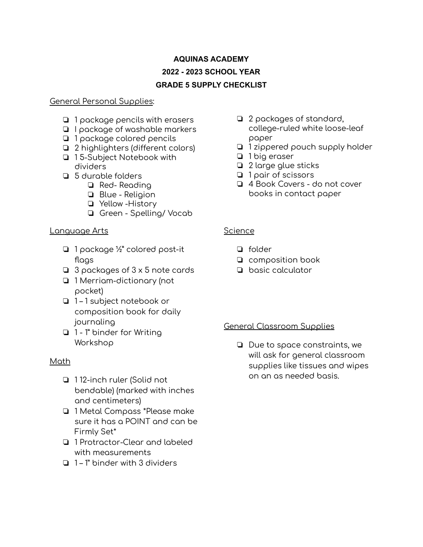# **AQUINAS ACADEMY 2022 - 2023 SCHOOL YEAR GRADE 5 SUPPLY CHECKLIST**

#### General Personal Supplies:

- ❏ 1 package pencils with erasers
- ❏ I package of washable markers
- ❏ 1 package colored pencils
- ❏ 2 highlighters (different colors)
- ❏ 1 5-Subject Notebook with dividers
- ❏ 5 durable folders
	- ❏ Red- Reading
	- ❏ Blue Religion
	- ❏ Yellow -History
	- ❏ Green Spelling/ Vocab

### Language Arts

- ❏ 1 package ½" colored post-it flags
- ❏ 3 packages of 3 x 5 note cards
- ❏ 1 Merriam-dictionary (not pocket)
- ❏ 1 1 subject notebook or composition book for daily journaling
- ❏ 1 1" binder for Writing Workshop

### Math

- ❏ 1 12-inch ruler (Solid not bendable) (marked with inches and centimeters)
- ❏ 1 Metal Compass \*Please make sure it has a POINT and can be Firmly Set\*
- ❏ 1 Protractor-Clear and labeled with measurements
- ❏ 1 1" binder with 3 dividers
- ❏ 2 packages of standard, college-ruled white loose-leaf paper
- ❏ 1 zippered pouch supply holder
- ❏ 1 big eraser
- ❏ 2 large glue sticks
- ❏ 1 pair of scissors
- ❏ 4 Book Covers do not cover books in contact paper

### **Science**

- ❏ folder
- ❏ composition book
- ❏ basic calculator

### General Classroom Supplies

❏ Due to space constraints, we will ask for general classroom supplies like tissues and wipes on an as needed basis.